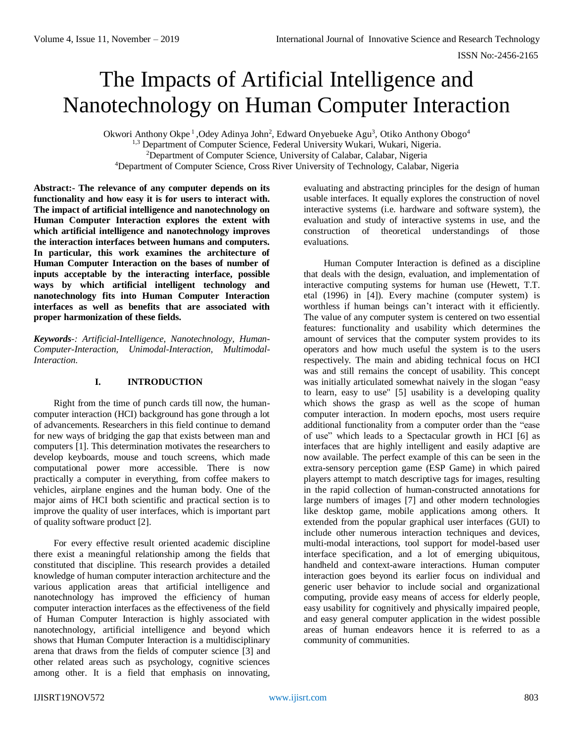# The Impacts of Artificial Intelligence and Nanotechnology on Human Computer Interaction

Okwori Anthony Okpe<sup>1</sup>, Odey Adinya John<sup>2</sup>, Edward Onyebueke Agu<sup>3</sup>, Otiko Anthony Obogo<sup>4</sup> <sup>1,3</sup> Department of Computer Science, Federal University Wukari, Wukari, Nigeria. <sup>2</sup>Department of Computer Science, University of Calabar, Calabar, Nigeria <sup>4</sup>Department of Computer Science, Cross River University of Technology, Calabar, Nigeria

**Abstract:- The relevance of any computer depends on its functionality and how easy it is for users to interact with. The impact of artificial intelligence and nanotechnology on Human Computer Interaction explores the extent with which artificial intelligence and nanotechnology improves the interaction interfaces between humans and computers. In particular, this work examines the architecture of Human Computer Interaction on the bases of number of inputs acceptable by the interacting interface, possible ways by which artificial intelligent technology and nanotechnology fits into Human Computer Interaction interfaces as well as benefits that are associated with proper harmonization of these fields.** 

*Keywords-: Artificial-Intelligence, Nanotechnology, Human-Computer-Interaction, Unimodal-Interaction, Multimodal-Interaction.*

# **I. INTRODUCTION**

Right from the time of punch cards till now, the humancomputer interaction (HCI) background has gone through a lot of advancements. Researchers in this field continue to demand for new ways of bridging the gap that exists between man and computers [1]. This determination motivates the researchers to develop keyboards, mouse and touch screens, which made computational power more accessible. There is now practically a computer in everything, from coffee makers to vehicles, airplane engines and the human body. One of the major aims of HCI both scientific and practical section is to improve the quality of user interfaces, which is important part of quality software product [2].

For every effective result oriented academic discipline there exist a meaningful relationship among the fields that constituted that discipline. This research provides a detailed knowledge of human computer interaction architecture and the various application areas that artificial intelligence and nanotechnology has improved the efficiency of human computer interaction interfaces as the effectiveness of the field of Human Computer Interaction is highly associated with nanotechnology, artificial intelligence and beyond which shows that Human Computer Interaction is a multidisciplinary arena that draws from the fields of computer science [3] and other related areas such as psychology, cognitive sciences among other. It is a field that emphasis on innovating,

evaluating and abstracting principles for the design of human usable interfaces. It equally explores the construction of novel interactive systems (i.e. hardware and software system), the evaluation and study of interactive systems in use, and the construction of theoretical understandings of those evaluations.

Human Computer Interaction is defined as a discipline that deals with the design, evaluation, and implementation of interactive computing systems for human use (Hewett, T.T. etal (1996) in [4]). Every machine (computer system) is worthless if human beings can't interact with it efficiently. The value of any computer system is centered on two essential features: functionality and usability which determines the amount of services that the computer system provides to its operators and how much useful the system is to the users respectively. The main and abiding technical focus on HCI was and still remains the concept of usability. This concept was initially articulated somewhat naively in the slogan "easy to learn, easy to use" [5] usability is a developing quality which shows the grasp as well as the scope of human computer interaction. In modern epochs, most users require additional functionality from a computer order than the "ease of use" which leads to a Spectacular growth in HCI [6] as interfaces that are highly intelligent and easily adaptive are now available. The perfect example of this can be seen in the extra-sensory perception game (ESP Game) in which paired players attempt to match descriptive tags for images, resulting in the rapid collection of human-constructed annotations for large numbers of images [7] and other modern technologies like desktop game, mobile applications among others. It extended from the popular graphical user interfaces (GUI) to include other numerous interaction techniques and devices, multi-modal interactions, tool support for model-based user interface specification, and a lot of emerging ubiquitous, handheld and context-aware interactions. Human computer interaction goes beyond its earlier focus on individual and generic user behavior to include social and organizational computing, provide easy means of access for elderly people, easy usability for cognitively and physically impaired people, and easy general computer application in the widest possible areas of human endeavors hence it is referred to as a community of communities.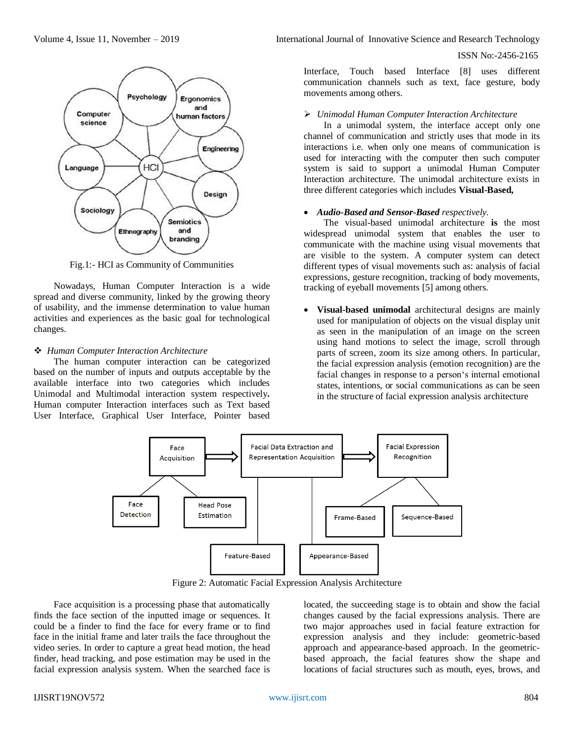

Fig.1:- HCI as Community of Communities

Nowadays, Human Computer Interaction is a wide spread and diverse community, linked by the growing theory of usability, and the immense determination to value human activities and experiences as the basic goal for technological changes.

#### *Human Computer Interaction Architecture*

The human computer interaction can be categorized based on the number of inputs and outputs acceptable by the available interface into two categories which includes Unimodal and Multimodal interaction system respectively**.**  Human computer Interaction interfaces such as Text based User Interface, Graphical User Interface, Pointer based

Volume 4, Issue 11, November – 2019 **International Journal of Innovative Science and Research Technology** 

## ISSN No:-2456-2165

Interface, Touch based Interface [8] uses different communication channels such as text, face gesture, body movements among others.

# *Unimodal Human Computer Interaction Architecture*

In a unimodal system, the interface accept only one channel of communication and strictly uses that mode in its interactions i.e. when only one means of communication is used for interacting with the computer then such computer system is said to support a unimodal Human Computer Interaction architecture. The unimodal architecture exists in three different categories which includes **Visual-Based,** 

# *Audio-Based and Sensor-Based respectively.*

The visual-based unimodal architecture **is** the most widespread unimodal system that enables the user to communicate with the machine using visual movements that are visible to the system. A computer system can detect different types of visual movements such as: analysis of facial expressions, gesture recognition, tracking of body movements, tracking of eyeball movements [5] among others.

 **Visual-based unimodal** architectural designs are mainly used for manipulation of objects on the visual display unit as seen in the manipulation of an image on the screen using hand motions to select the image, scroll through parts of screen, zoom its size among others. In particular, the facial expression analysis (emotion recognition) are the facial changes in response to a person's internal emotional states, intentions, or social communications as can be seen in the structure of facial expression analysis architecture



Figure 2: Automatic Facial Expression Analysis Architecture

Face acquisition is a processing phase that automatically finds the face section of the inputted image or sequences. It could be a finder to find the face for every frame or to find face in the initial frame and later trails the face throughout the video series. In order to capture a great head motion, the head finder, head tracking, and pose estimation may be used in the facial expression analysis system. When the searched face is located, the succeeding stage is to obtain and show the facial changes caused by the facial expressions analysis. There are two major approaches used in facial feature extraction for expression analysis and they include: geometric-based approach and appearance-based approach. In the geometricbased approach, the facial features show the shape and locations of facial structures such as mouth, eyes, brows, and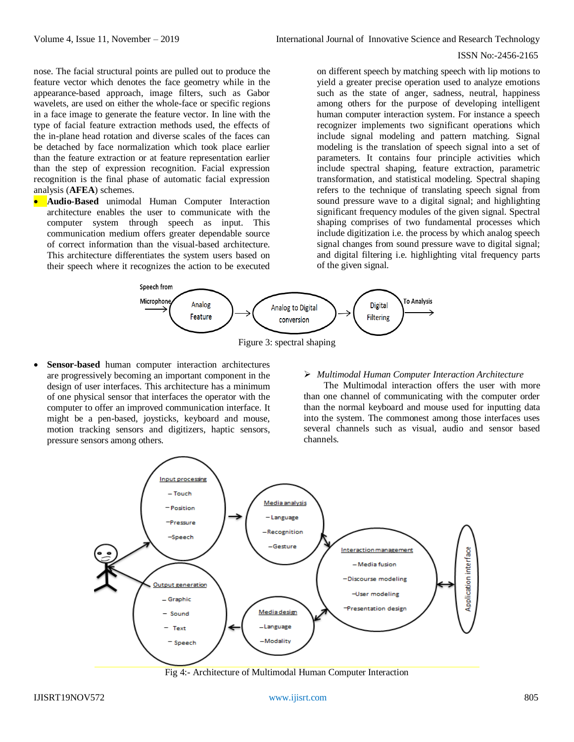nose. The facial structural points are pulled out to produce the feature vector which denotes the face geometry while in the appearance-based approach, image filters, such as Gabor wavelets, are used on either the whole-face or specific regions in a face image to generate the feature vector. In line with the type of facial feature extraction methods used, the effects of the in-plane head rotation and diverse scales of the faces can be detached by face normalization which took place earlier than the feature extraction or at feature representation earlier than the step of expression recognition. Facial expression recognition is the final phase of automatic facial expression analysis (**AFEA**) schemes.

**Audio-Based** unimodal Human Computer Interaction architecture enables the user to communicate with the computer system through speech as input. This communication medium offers greater dependable source of correct information than the visual-based architecture. This architecture differentiates the system users based on their speech where it recognizes the action to be executed

on different speech by matching speech with lip motions to yield a greater precise operation used to analyze emotions such as the state of anger, sadness, neutral, happiness among others for the purpose of developing intelligent human computer interaction system. For instance a speech recognizer implements two significant operations which include signal modeling and pattern matching. Signal modeling is the translation of speech signal into a set of parameters. It contains four principle activities which include spectral shaping, feature extraction, parametric transformation, and statistical modeling. Spectral shaping refers to the technique of translating speech signal from sound pressure wave to a digital signal; and highlighting significant frequency modules of the given signal. Spectral shaping comprises of two fundamental processes which include digitization i.e. the process by which analog speech signal changes from sound pressure wave to digital signal; and digital filtering i.e. highlighting vital frequency parts of the given signal.



Figure 3: spectral shaping

 **Sensor-based** human computer interaction architectures are progressively becoming an important component in the design of user interfaces. This architecture has a minimum of one physical sensor that interfaces the operator with the computer to offer an improved communication interface. It might be a pen-based, joysticks, keyboard and mouse, motion tracking sensors and digitizers, haptic sensors, pressure sensors among others.

#### *Multimodal Human Computer Interaction Architecture*

The Multimodal interaction offers the user with more than one channel of communicating with the computer order than the normal keyboard and mouse used for inputting data into the system. The commonest among those interfaces uses several channels such as visual, audio and sensor based channels.



Fig 4:- Architecture of Multimodal Human Computer Interaction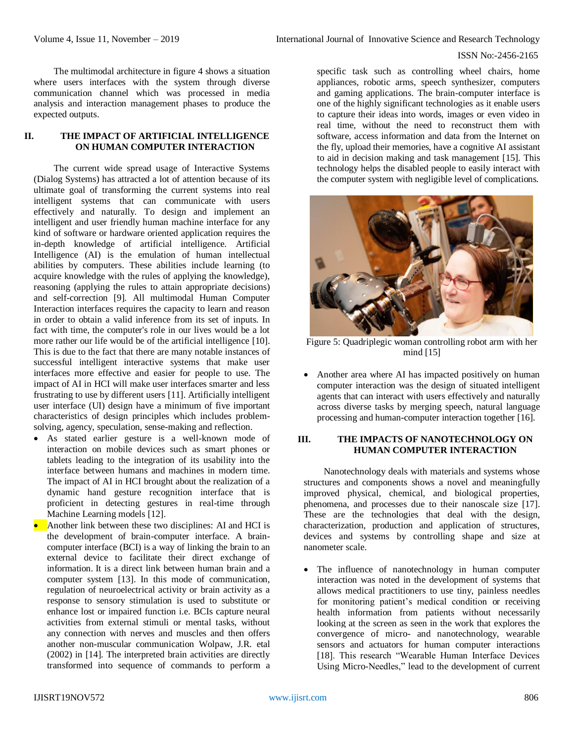The multimodal architecture in figure 4 shows a situation where users interfaces with the system through diverse communication channel which was processed in media analysis and interaction management phases to produce the expected outputs.

## **II. THE IMPACT OF ARTIFICIAL INTELLIGENCE ON HUMAN COMPUTER INTERACTION**

The current wide spread usage of Interactive Systems (Dialog Systems) has attracted a lot of attention because of its ultimate goal of transforming the current systems into real intelligent systems that can communicate with users effectively and naturally. To design and implement an intelligent and user friendly human machine interface for any kind of software or hardware oriented application requires the in-depth knowledge of artificial intelligence. Artificial Intelligence (AI) is the emulation of human intellectual abilities by computers. These abilities include learning (to acquire knowledge with the rules of applying the knowledge), reasoning (applying the rules to attain appropriate decisions) and self-correction [9]. All multimodal Human Computer Interaction interfaces requires the capacity to learn and reason in order to obtain a valid inference from its set of inputs. In fact with time, the computer's role in our lives would be a lot more rather our life would be of the artificial intelligence [10]. This is due to the fact that there are many notable instances of successful intelligent interactive systems that make user interfaces more effective and easier for people to use. The impact of AI in HCI will make user interfaces smarter and less frustrating to use by different users [11]. Artificially intelligent user interface (UI) design have a minimum of five important characteristics of design principles which includes problemsolving, agency, speculation, sense-making and reflection.

- As stated earlier gesture is a well-known mode of interaction on mobile devices such as smart phones or tablets leading to the integration of its usability into the interface between humans and machines in modern time. The impact of AI in HCI brought about the realization of a dynamic hand gesture recognition interface that is proficient in detecting gestures in real-time through Machine Learning models [12].
- Another link between these two disciplines: AI and HCI is the development of brain-computer interface. A braincomputer interface (BCI) is a way of linking the brain to an external device to facilitate their direct exchange of information. It is a direct link between human brain and a computer system [13]. In this mode of communication, regulation of neuroelectrical activity or brain activity as a response to sensory stimulation is used to substitute or enhance lost or impaired function i.e. BCIs capture neural activities from external stimuli or mental tasks, without any connection with nerves and muscles and then offers another non-muscular communication Wolpaw, J.R. etal (2002) in [14]. The interpreted brain activities are directly transformed into sequence of commands to perform a

specific task such as controlling wheel chairs, home appliances, robotic arms, speech synthesizer, computers and gaming applications. The brain-computer interface is one of the highly significant technologies as it enable users to capture their ideas into words, images or even video in real time, without the need to reconstruct them with software, access information and data from the Internet on the fly, upload their memories, have a cognitive AI assistant to aid in decision making and task management [15]. This technology helps the disabled people to easily interact with the computer system with negligible level of complications.



Figure 5: Quadriplegic woman controlling robot arm with her mind [15]

• Another area where AI has impacted positively on human computer interaction was the design of situated intelligent agents that can interact with users effectively and naturally across diverse tasks by merging speech, natural language processing and human-computer interaction together [16].

## **III. THE IMPACTS OF NANOTECHNOLOGY ON HUMAN COMPUTER INTERACTION**

Nanotechnology deals with materials and systems whose structures and components shows a novel and meaningfully improved physical, chemical, and biological properties, phenomena, and processes due to their nanoscale size [17]. These are the technologies that deal with the design, characterization, production and application of structures, devices and systems by controlling shape and size at nanometer scale.

 The influence of nanotechnology in human computer interaction was noted in the development of systems that allows medical practitioners to use tiny, painless needles for monitoring patient's medical condition or receiving health information from patients without necessarily looking at the screen as seen in the work that explores the convergence of micro- and nanotechnology, wearable sensors and actuators for human computer interactions [18]. This research "Wearable Human Interface Devices Using Micro-Needles," lead to the development of current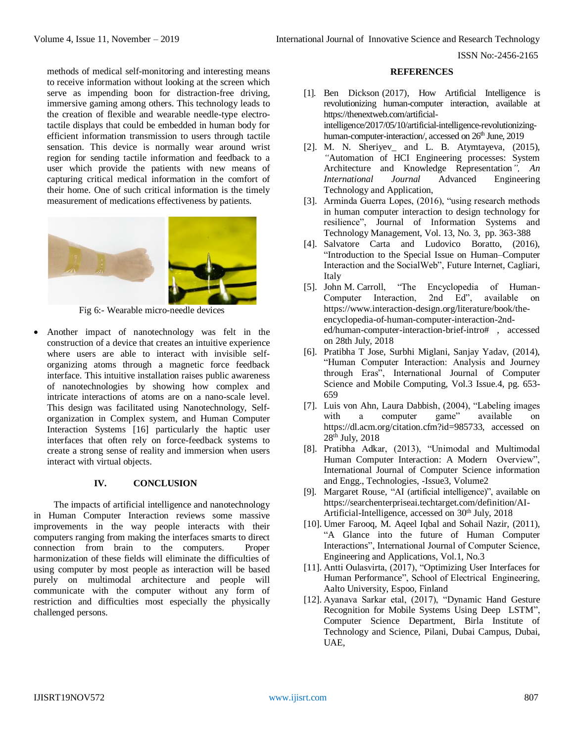methods of medical self-monitoring and interesting means to receive information without looking at the screen which serve as impending boon for distraction-free driving, immersive gaming among others. This technology leads to the creation of flexible and wearable needle-type electrotactile displays that could be embedded in human body for efficient information transmission to users through tactile sensation. This device is normally wear around wrist region for sending tactile information and feedback to a user which provide the patients with new means of capturing critical medical information in the comfort of their home. One of such critical information is the timely measurement of medications effectiveness by patients.



Fig 6:- Wearable micro-needle devices

 Another impact of nanotechnology was felt in the construction of a device that creates an intuitive experience where users are able to interact with invisible selforganizing atoms through a magnetic force feedback interface. This intuitive installation raises public awareness of nanotechnologies by showing how complex and intricate interactions of atoms are on a nano-scale level. This design was facilitated using Nanotechnology, Selforganization in Complex system, and Human Computer Interaction Systems [16] particularly the haptic user interfaces that often rely on force-feedback systems to create a strong sense of reality and immersion when users interact with virtual objects.

## **IV. CONCLUSION**

The impacts of artificial intelligence and nanotechnology in Human Computer Interaction reviews some massive improvements in the way people interacts with their computers ranging from making the interfaces smarts to direct connection from brain to the computers. Proper harmonization of these fields will eliminate the difficulties of using computer by most people as interaction will be based purely on multimodal architecture and people will communicate with the computer without any form of restriction and difficulties most especially the physically challenged persons.

#### **REFERENCES**

- [1]. Ben [Dickson](https://thenextweb.com/author/ben-dickson/) (2017), How Artificial Intelligence is revolutionizing human-computer interaction, available at [https://thenextweb.com/artificial](https://thenextweb.com/artificial-intelligence/2017/05/10/artificial-intelligence-revolutionizing-human-computer-interaction/)[intelligence/2017/05/10/artificial-intelligence-revolutionizing](https://thenextweb.com/artificial-intelligence/2017/05/10/artificial-intelligence-revolutionizing-human-computer-interaction/)[human-computer-interaction/,](https://thenextweb.com/artificial-intelligence/2017/05/10/artificial-intelligence-revolutionizing-human-computer-interaction/) accessed on 26<sup>th</sup> June, 2019
- [2]. M. N. Sheriyev\_ and L. B. Atymtayeva, (2015), *"*Automation of HCI Engineering processes: System Architecture and Knowledge Representation*", An International Journal* Advanced Engineering Technology and Application,
- [3]. Arminda Guerra Lopes, (2016), "using research methods in human computer interaction to design technology for resilience", Journal of Information Systems and Technology Management, Vol. 13, No. 3, pp. 363-388
- [4]. Salvatore Carta and Ludovico Boratto, (2016), "Introduction to the Special Issue on Human–Computer Interaction and the SocialWeb", Future Internet, Cagliari, Italy
- [5]. John M. Carroll, "The Encyclopedia of Human-Computer Interaction, 2nd Ed", available on https://www.interaction-design.org/literature/book/theencyclopedia-of-human-computer-interaction-2nded/human-computer-interaction-brief-intro# , accessed on 28th July, 2018
- [6]. Pratibha T Jose, Surbhi Miglani, Sanjay Yadav, (2014), "Human Computer Interaction: Analysis and Journey through Eras", International Journal of Computer Science and Mobile Computing, Vol.3 Issue.4, pg. 653- 659
- [7]. [Luis von Ahn,](https://dl.acm.org/author_page.cfm?id=81100069810&coll=DL&dl=ACM&trk=0) [Laura Dabbish,](https://dl.acm.org/author_page.cfm?id=81100650586&coll=DL&dl=ACM&trk=0) (2004), "Labeling images with a computer game" available on [https://dl.acm.org/citation.cfm?id=985733,](https://dl.acm.org/citation.cfm?id=985733) accessed on 28th July, 2018
- [8]. Pratibha Adkar, (2013), "Unimodal and Multimodal Human Computer Interaction: A Modern Overview", International Journal of Computer Science information and Engg., Technologies, -Issue3, Volume2
- [9]. [Margaret Rouse,](https://www.techtarget.com/contributor/Margaret-Rouse) "AI (artificial intelligence)", available on https://searchenterpriseai.techtarget.com/definition/AI-Artificial-Intelligence, accessed on 30<sup>th</sup> July, 2018
- [10]. Umer Farooq, M. Aqeel Iqbal and Sohail Nazir, (2011), "A Glance into the future of Human Computer Interactions", International Journal of Computer Science, Engineering and Applications, Vol.1, No.3
- [11]. Antti Oulasvirta, (2017), "Optimizing User Interfaces for Human Performance", School of Electrical Engineering, Aalto University, Espoo, Finland
- [12]. Ayanava Sarkar etal, (2017), "Dynamic Hand Gesture Recognition for Mobile Systems Using Deep LSTM", Computer Science Department, Birla Institute of Technology and Science, Pilani, Dubai Campus, Dubai, UAE,